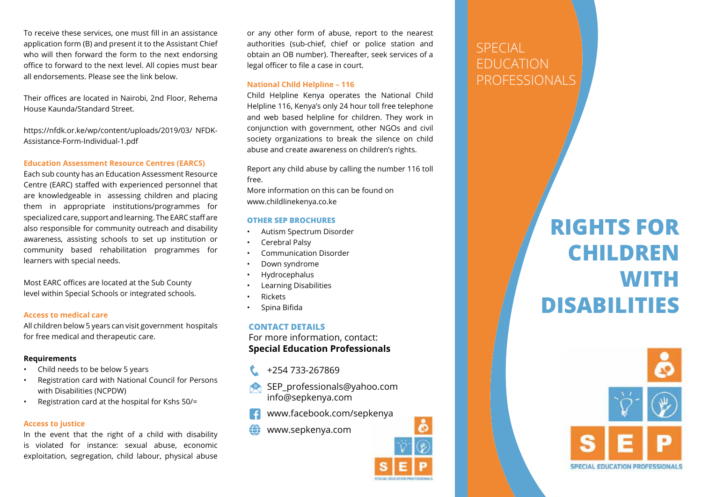To receive these services, one must fill in an assistance application form (B) and present it to the Assistant Chief who will then forward the form to the next endorsing office to forward to the next level. All copies must bear all endorsements. Please see the link below.

Their offices are located in Nairobi, 2nd Floor, Rehema House Kaunda/Standard Street.

https://nfdk.or.ke/wp/content/uploads/2019/03/ NFDK-Assistance-Form-Individual-1.pdf

#### **Education Assessment Resource Centres (EARCS)**

Each sub county has an Education Assessment Resource Centre (EARC) staffed with experienced personnel that are knowledgeable in assessing children and placing them in appropriate institutions/programmes for specialized care, support and learning. The EARC staff are also responsible for community outreach and disability awareness, assisting schools to set up institution or community based rehabilitation programmes for learners with special needs.

Most EARC offices are located at the Sub County level within Special Schools or integrated schools.

#### **Access to medical care**

All children below 5 years can visit government hospitals for free medical and therapeutic care.

#### **Requirements**

- Child needs to be below 5 years
- Registration card with National Council for Persons with Disabilities (NCPDW)
- Registration card at the hospital for Kshs 50/=

# **Access to justice**

In the event that the right of a child with disability is violated for instance: sexual abuse, economic exploitation, segregation, child labour, physical abuse or any other form of abuse, report to the nearest authorities (sub-chief, chief or police station and obtain an OB number). Thereafter, seek services of a legal officer to file a case in court.

# **National Child Helpline – 116**

Child Helpline Kenya operates the National Child Helpline 116, Kenya's only 24 hour toll free telephone and web based helpline for children. They work in conjunction with government, other NGOs and civil society organizations to break the silence on child abuse and create awareness on children's rights.

Report any child abuse by calling the number 116 toll free.

More information on this can be found on www.childlinekenya.co.ke

# **OTHER SEP BROCHURES**

- Autism Spectrum Disorder
- Cerebral Palsy
- Communication Disorder
- Down syndrome
- Hydrocephalus
- Learning Disabilities
- Rickets
- Spina Bifida

**CONTACT DETAILS**  For more information, contact: **Special Education Professionals** 

- +254 733-267869
- SEP\_professionals@yahoo.com info@sepkenya.com
- www.facebook.com/sepkenya
- www.sepkenya.com



# **SPECIAL** EDUCATION PROFESSIONALS

# **RIGHTS FOR CHILDREN WITH DISABILITIES**